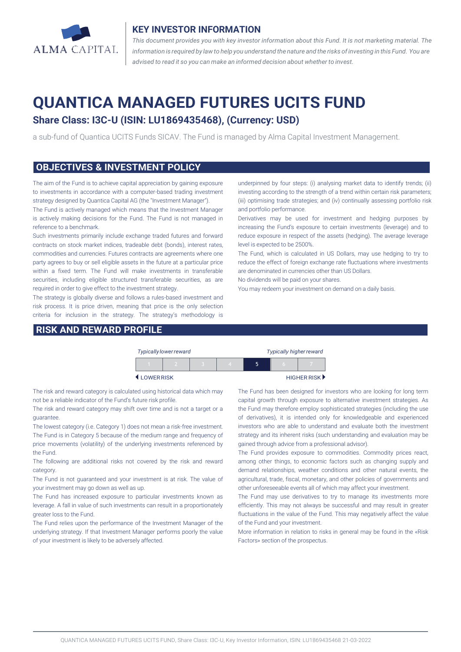

#### **KEY INVESTOR INFORMATION**

*This document provides you with key investor information about this Fund. It is not marketing material. The* information is required by law to help you understand the nature and the risks of investing in this Fund. You are *advised to read it so you can make an informed decision about whether to invest.*

# **QUANTICA MANAGED FUTURES UCITS FUND**

# **Share Class: I3C-U (ISIN: LU1869435468), (Currency: USD)**

a sub-fund of Quantica UCITS Funds SICAV. The Fund is managed by Alma Capital Investment Management.

#### **OBJECTIVES & INVESTMENT POLICY**

The aim of the Fund is to achieve capital appreciation by gaining exposure to investments in accordance with a computer-based trading investment strategy designed by Quantica Capital AG (the "Investment Manager").

The Fund is actively managed which means that the Investment Manager is actively making decisions for the Fund. The Fund is not managed in reference to a benchmark.

Such investments primarily include exchange traded futures and forward contracts on stock market indices, tradeable debt (bonds), interest rates, commodities and currencies. Futures contracts are agreements where one party agrees to buy or sell eligible assets in the future at a particular price within a fixed term. The Fund will make investments in transferable securities, including eligible structured transferable securities, as are required in order to give effect to the investment strategy.

The strategy is globally diverse and follows a rules-based investment and risk process. It is price driven, meaning that price is the only selection criteria for inclusion in the strategy. The strategy's methodology is

#### **RISK AND REWARD PROFILE**

underpinned by four steps: (i) analysing market data to identify trends; (ii) investing according to the strength of a trend within certain risk parameters; (iii) optimising trade strategies; and (iv) continually assessing portfolio risk and portfolio performance.

Derivatives may be used for investment and hedging purposes by increasing the Fund's exposure to certain investments (leverage) and to reduce exposure in respect of the assets (hedging). The average leverage level is expected to be 2500%.

The Fund, which is calculated in US Dollars, may use hedging to try to reduce the effect of foreign exchange rate fluctuations where investments are denominated in currencies other than US Dollars.

No dividends will be paid on your shares.

You may redeem your investment on demand on a daily basis.

|           | <b>Typically lower reward</b> |  | <b>Typically higher reward</b> |   |   |             |
|-----------|-------------------------------|--|--------------------------------|---|---|-------------|
|           |                               |  |                                | ה | n |             |
| LOWERRISK |                               |  |                                |   |   | HIGHER RISK |

The risk and reward category is calculated using historical data which may not be a reliable indicator of the Fund's future risk profile.

The risk and reward category may shift over time and is not a target or a guarantee.

The lowest category (i.e. Category 1) does not mean a risk-free investment. The Fund is in Category 5 because of the medium range and frequency of price movements (volatility) of the underlying investments referenced by the Fund.

The following are additional risks not covered by the risk and reward category.

The Fund is not guaranteed and your investment is at risk. The value of your investment may go down as well as up.

The Fund has increased exposure to particular investments known as leverage. A fall in value of such investments can result in a proportionately greater loss to the Fund.

The Fund relies upon the performance of the Investment Manager of the underlying strategy. If that Investment Manager performs poorly the value of your investment is likely to be adversely affected.

The Fund has been designed for investors who are looking for long term capital growth through exposure to alternative investment strategies. As the Fund may therefore employ sophisticated strategies (including the use of derivatives), it is intended only for knowledgeable and experienced investors who are able to understand and evaluate both the investment strategy and its inherent risks (such understanding and evaluation may be gained through advice from a professional advisor).

The Fund provides exposure to commodities. Commodity prices react, among other things, to economic factors such as changing supply and demand relationships, weather conditions and other natural events, the agricultural, trade, fiscal, monetary, and other policies of governments and other unforeseeable events all of which may affect your investment.

The Fund may use derivatives to try to manage its investments more efficiently. This may not always be successful and may result in greater fluctuations in the value of the Fund. This may negatively affect the value of the Fund and your investment.

More information in relation to risks in general may be found in the «Risk Factors» section of the prospectus.